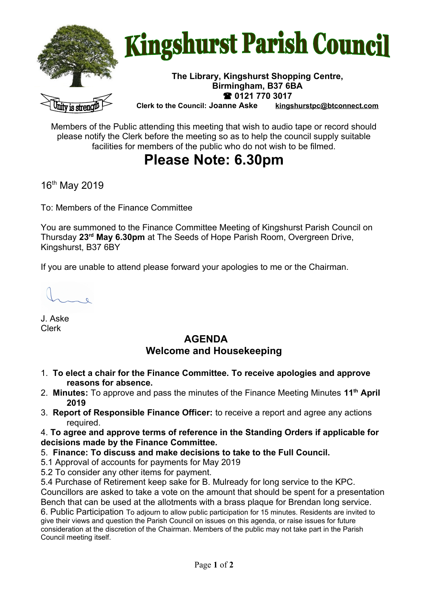

## **Kingshurst Parish Council**

## **The Library, Kingshurst Shopping Centre, Birmingham, B37 6BA 0121 770 3017**

**Clerk to the Council: Joanne Aske [kingshurstpc@btconnect.com](mailto:kingshurstpc@btconnect.com)**

Members of the Public attending this meeting that wish to audio tape or record should please notify the Clerk before the meeting so as to help the council supply suitable facilities for members of the public who do not wish to be filmed.

## **Please Note: 6.30pm**

16<sup>th</sup> May 2019

To: Members of the Finance Committee

You are summoned to the Finance Committee Meeting of Kingshurst Parish Council on Thursday **23rd May 6.30pm** at The Seeds of Hope Parish Room, Overgreen Drive, Kingshurst, B37 6BY

If you are unable to attend please forward your apologies to me or the Chairman.

J. Aske Clerk

## **AGENDA Welcome and Housekeeping**

- 1. **To elect a chair for the Finance Committee. To receive apologies and approve reasons for absence.**
- 2. **Minutes:** To approve and pass the minutes of the Finance Meeting Minutes **11th April 2019**
- 3. **Report of Responsible Finance Officer:** to receive a report and agree any actions required.

4. **To agree and approve terms of reference in the Standing Orders if applicable for decisions made by the Finance Committee.** 

- 5. **Finance: To discuss and make decisions to take to the Full Council.**
- 5.1 Approval of accounts for payments for May 2019
- 5.2 To consider any other items for payment.

5.4 Purchase of Retirement keep sake for B. Mulready for long service to the KPC.

Councillors are asked to take a vote on the amount that should be spent for a presentation Bench that can be used at the allotments with a brass plaque for Brendan long service.

6. Public Participation To adjourn to allow public participation for 15 minutes. Residents are invited to give their views and question the Parish Council on issues on this agenda, or raise issues for future consideration at the discretion of the Chairman. Members of the public may not take part in the Parish Council meeting itself.